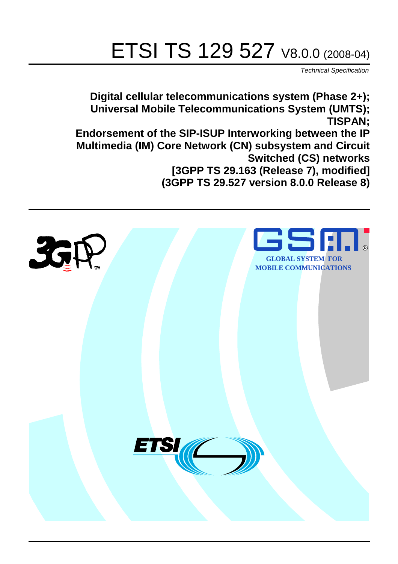# ETSI TS 129 527 V8.0.0 (2008-04)

*Technical Specification*

**Digital cellular telecommunications system (Phase 2+); Universal Mobile Telecommunications System (UMTS); TISPAN; Endorsement of the SIP-ISUP Interworking between the IP Multimedia (IM) Core Network (CN) subsystem and Circuit Switched (CS) networks [3GPP TS 29.163 (Release 7), modified]** 

**(3GPP TS 29.527 version 8.0.0 Release 8)**

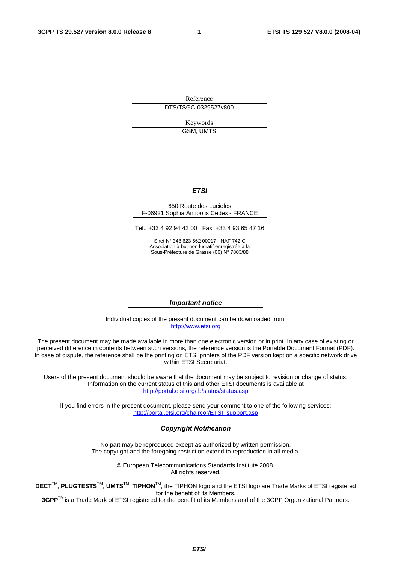Reference DTS/TSGC-0329527v800

> Keywords GSM, UMTS

#### *ETSI*

#### 650 Route des Lucioles F-06921 Sophia Antipolis Cedex - FRANCE

Tel.: +33 4 92 94 42 00 Fax: +33 4 93 65 47 16

Siret N° 348 623 562 00017 - NAF 742 C Association à but non lucratif enregistrée à la Sous-Préfecture de Grasse (06) N° 7803/88

#### *Important notice*

Individual copies of the present document can be downloaded from: [http://www.etsi.org](http://www.etsi.org/)

The present document may be made available in more than one electronic version or in print. In any case of existing or perceived difference in contents between such versions, the reference version is the Portable Document Format (PDF). In case of dispute, the reference shall be the printing on ETSI printers of the PDF version kept on a specific network drive within ETSI Secretariat.

Users of the present document should be aware that the document may be subject to revision or change of status. Information on the current status of this and other ETSI documents is available at <http://portal.etsi.org/tb/status/status.asp>

If you find errors in the present document, please send your comment to one of the following services: [http://portal.etsi.org/chaircor/ETSI\\_support.asp](http://portal.etsi.org/chaircor/ETSI_support.asp)

#### *Copyright Notification*

No part may be reproduced except as authorized by written permission. The copyright and the foregoing restriction extend to reproduction in all media.

> © European Telecommunications Standards Institute 2008. All rights reserved.

**DECT**TM, **PLUGTESTS**TM, **UMTS**TM, **TIPHON**TM, the TIPHON logo and the ETSI logo are Trade Marks of ETSI registered for the benefit of its Members.

**3GPP**TM is a Trade Mark of ETSI registered for the benefit of its Members and of the 3GPP Organizational Partners.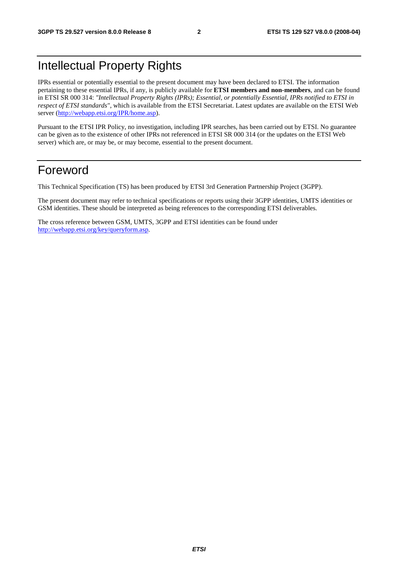### Intellectual Property Rights

IPRs essential or potentially essential to the present document may have been declared to ETSI. The information pertaining to these essential IPRs, if any, is publicly available for **ETSI members and non-members**, and can be found in ETSI SR 000 314: *"Intellectual Property Rights (IPRs); Essential, or potentially Essential, IPRs notified to ETSI in respect of ETSI standards"*, which is available from the ETSI Secretariat. Latest updates are available on the ETSI Web server (<http://webapp.etsi.org/IPR/home.asp>).

Pursuant to the ETSI IPR Policy, no investigation, including IPR searches, has been carried out by ETSI. No guarantee can be given as to the existence of other IPRs not referenced in ETSI SR 000 314 (or the updates on the ETSI Web server) which are, or may be, or may become, essential to the present document.

### Foreword

This Technical Specification (TS) has been produced by ETSI 3rd Generation Partnership Project (3GPP).

The present document may refer to technical specifications or reports using their 3GPP identities, UMTS identities or GSM identities. These should be interpreted as being references to the corresponding ETSI deliverables.

The cross reference between GSM, UMTS, 3GPP and ETSI identities can be found under <http://webapp.etsi.org/key/queryform.asp>.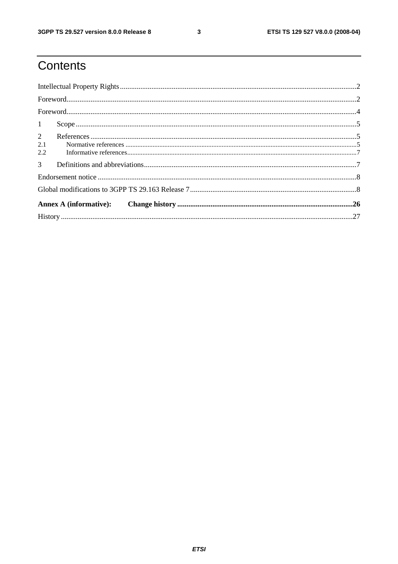$\mathbf{3}$ 

## Contents

| 1                            |  |
|------------------------------|--|
| $\overline{2}$<br>2.1<br>2.2 |  |
| 3 <sup>1</sup>               |  |
|                              |  |
|                              |  |
|                              |  |
|                              |  |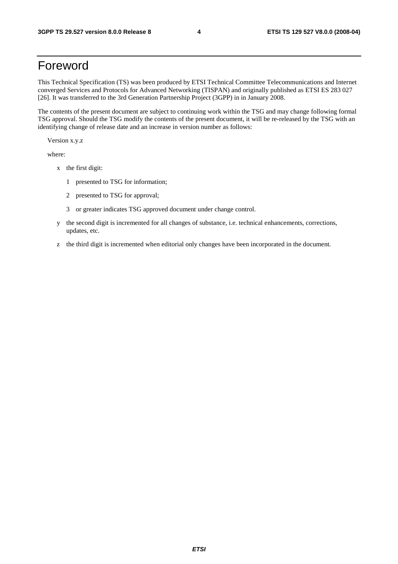### Foreword

This Technical Specification (TS) was been produced by ETSI Technical Committee Telecommunications and Internet converged Services and Protocols for Advanced Networking (TISPAN) and originally published as ETSI ES 283 027 [26]. It was transferred to the 3rd Generation Partnership Project (3GPP) in in January 2008.

The contents of the present document are subject to continuing work within the TSG and may change following formal TSG approval. Should the TSG modify the contents of the present document, it will be re-released by the TSG with an identifying change of release date and an increase in version number as follows:

Version x.y.z

where:

- x the first digit:
	- 1 presented to TSG for information;
	- 2 presented to TSG for approval;
	- 3 or greater indicates TSG approved document under change control.
- y the second digit is incremented for all changes of substance, i.e. technical enhancements, corrections, updates, etc.
- z the third digit is incremented when editorial only changes have been incorporated in the document.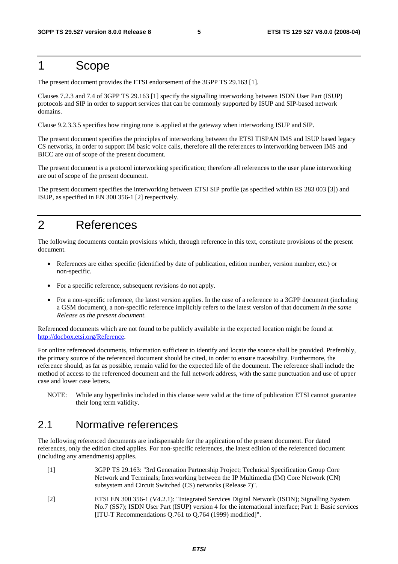### 1 Scope

The present document provides the ETSI endorsement of the 3GPP TS 29.163 [1].

Clauses 7.2.3 and 7.4 of 3GPP TS 29.163 [1] specify the signalling interworking between ISDN User Part (ISUP) protocols and SIP in order to support services that can be commonly supported by ISUP and SIP-based network domains.

Clause 9.2.3.3.5 specifies how ringing tone is applied at the gateway when interworking ISUP and SIP.

The present document specifies the principles of interworking between the ETSI TISPAN IMS and ISUP based legacy CS networks, in order to support IM basic voice calls, therefore all the references to interworking between IMS and BICC are out of scope of the present document.

The present document is a protocol interworking specification; therefore all references to the user plane interworking are out of scope of the present document.

The present document specifies the interworking between ETSI SIP profile (as specified within ES 283 003 [3]) and ISUP, as specified in EN 300 356-1 [2] respectively.

### 2 References

The following documents contain provisions which, through reference in this text, constitute provisions of the present document.

- References are either specific (identified by date of publication, edition number, version number, etc.) or non-specific.
- For a specific reference, subsequent revisions do not apply.
- For a non-specific reference, the latest version applies. In the case of a reference to a 3GPP document (including a GSM document), a non-specific reference implicitly refers to the latest version of that document *in the same Release as the present document*.

Referenced documents which are not found to be publicly available in the expected location might be found at <http://docbox.etsi.org/Reference>.

For online referenced documents, information sufficient to identify and locate the source shall be provided. Preferably, the primary source of the referenced document should be cited, in order to ensure traceability. Furthermore, the reference should, as far as possible, remain valid for the expected life of the document. The reference shall include the method of access to the referenced document and the full network address, with the same punctuation and use of upper case and lower case letters.

NOTE: While any hyperlinks included in this clause were valid at the time of publication ETSI cannot guarantee their long term validity.

### 2.1 Normative references

The following referenced documents are indispensable for the application of the present document. For dated references, only the edition cited applies. For non-specific references, the latest edition of the referenced document (including any amendments) applies.

- [1] 3GPP TS 29.163: "3rd Generation Partnership Project; Technical Specification Group Core Network and Terminals; Interworking between the IP Multimedia (IM) Core Network (CN) subsystem and Circuit Switched (CS) networks (Release 7)".
- [2] ETSI EN 300 356-1 (V4.2.1): "Integrated Services Digital Network (ISDN); Signalling System No.7 (SS7); ISDN User Part (ISUP) version 4 for the international interface; Part 1: Basic services [ITU-T Recommendations Q.761 to Q.764 (1999) modified]".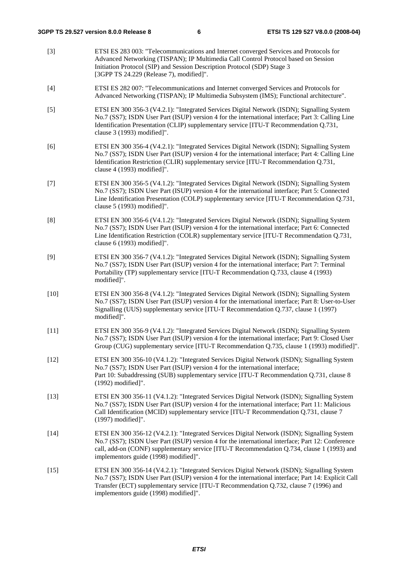[3] ETSI ES 283 003: "Telecommunications and Internet converged Services and Protocols for Advanced Networking (TISPAN); IP Multimedia Call Control Protocol based on Session Initiation Protocol (SIP) and Session Description Protocol (SDP) Stage 3 [3GPP TS 24.229 (Release 7), modified]". [4] ETSI ES 282 007: "Telecommunications and Internet converged Services and Protocols for Advanced Networking (TISPAN); IP Multimedia Subsystem (IMS); Functional architecture". [5] ETSI EN 300 356-3 (V4.2.1): "Integrated Services Digital Network (ISDN); Signalling System No.7 (SS7); ISDN User Part (ISUP) version 4 for the international interface; Part 3: Calling Line Identification Presentation (CLIP) supplementary service [ITU-T Recommendation Q.731, clause 3 (1993) modified]". [6] ETSI EN 300 356-4 (V4.2.1): "Integrated Services Digital Network (ISDN); Signalling System No.7 (SS7); ISDN User Part (ISUP) version 4 for the international interface; Part 4: Calling Line Identification Restriction (CLIR) supplementary service [ITU-T Recommendation Q.731, clause 4 (1993) modified]". [7] ETSI EN 300 356-5 (V4.1.2): "Integrated Services Digital Network (ISDN); Signalling System No.7 (SS7); ISDN User Part (ISUP) version 4 for the international interface; Part 5: Connected Line Identification Presentation (COLP) supplementary service [ITU-T Recommendation Q.731, clause 5 (1993) modified]". [8] ETSI EN 300 356-6 (V4.1.2): "Integrated Services Digital Network (ISDN); Signalling System No.7 (SS7); ISDN User Part (ISUP) version 4 for the international interface; Part 6: Connected Line Identification Restriction (COLR) supplementary service [ITU-T Recommendation Q.731, clause 6 (1993) modified]". [9] ETSI EN 300 356-7 (V4.1.2): "Integrated Services Digital Network (ISDN); Signalling System No.7 (SS7); ISDN User Part (ISUP) version 4 for the international interface; Part 7: Terminal Portability (TP) supplementary service [ITU-T Recommendation Q.733, clause 4 (1993) modified]". [10] ETSI EN 300 356-8 (V4.1.2): "Integrated Services Digital Network (ISDN); Signalling System No.7 (SS7); ISDN User Part (ISUP) version 4 for the international interface; Part 8: User-to-User Signalling (UUS) supplementary service [ITU-T Recommendation Q.737, clause 1 (1997) modified]". [11] ETSI EN 300 356-9 (V4.1.2): "Integrated Services Digital Network (ISDN); Signalling System No.7 (SS7); ISDN User Part (ISUP) version 4 for the international interface; Part 9: Closed User Group (CUG) supplementary service [ITU-T Recommendation Q.735, clause 1 (1993) modified]". [12] ETSI EN 300 356-10 (V4.1.2): "Integrated Services Digital Network (ISDN); Signalling System No.7 (SS7); ISDN User Part (ISUP) version 4 for the international interface; Part 10: Subaddressing (SUB) supplementary service [ITU-T Recommendation Q.731, clause 8 (1992) modified]". [13] ETSI EN 300 356-11 (V4.1.2): "Integrated Services Digital Network (ISDN); Signalling System No.7 (SS7); ISDN User Part (ISUP) version 4 for the international interface; Part 11: Malicious Call Identification (MCID) supplementary service [ITU-T Recommendation Q.731, clause 7 (1997) modified]". [14] ETSI EN 300 356-12 (V4.2.1): "Integrated Services Digital Network (ISDN); Signalling System No.7 (SS7); ISDN User Part (ISUP) version 4 for the international interface; Part 12: Conference call, add-on (CONF) supplementary service [ITU-T Recommendation Q.734, clause 1 (1993) and implementors guide (1998) modified]". [15] ETSI EN 300 356-14 (V4.2.1): "Integrated Services Digital Network (ISDN); Signalling System No.7 (SS7); ISDN User Part (ISUP) version 4 for the international interface; Part 14: Explicit Call Transfer (ECT) supplementary service [ITU-T Recommendation Q.732, clause 7 (1996) and implementors guide (1998) modified]".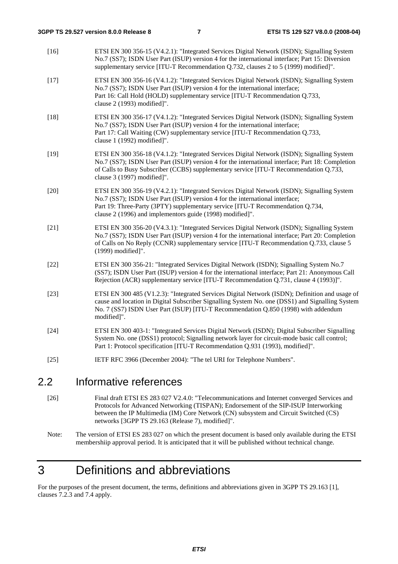| $[24]$ | modified]".<br>ETSI EN 300 403-1: "Integrated Services Digital Network (ISDN); Digital Subscriber Signalling<br>System No. one (DSS1) protocol; Signalling network layer for circuit-mode basic call control;                                                                                                              |
|--------|----------------------------------------------------------------------------------------------------------------------------------------------------------------------------------------------------------------------------------------------------------------------------------------------------------------------------|
| $[23]$ | ETSI EN 300 485 (V1.2.3): "Integrated Services Digital Network (ISDN); Definition and usage of<br>cause and location in Digital Subscriber Signalling System No. one (DSS1) and Signalling System<br>No. 7 (SS7) ISDN User Part (ISUP) [ITU-T Recommendation Q.850 (1998) with addendum                                    |
| $[22]$ | ETSI EN 300 356-21: "Integrated Services Digital Network (ISDN); Signalling System No.7<br>(SS7); ISDN User Part (ISUP) version 4 for the international interface; Part 21: Anonymous Call<br>Rejection (ACR) supplementary service [ITU-T Recommendation Q.731, clause 4 (1993)]".                                        |
| $[21]$ | ETSI EN 300 356-20 (V4.3.1): "Integrated Services Digital Network (ISDN); Signalling System<br>No.7 (SS7); ISDN User Part (ISUP) version 4 for the international interface; Part 20: Completion<br>of Calls on No Reply (CCNR) supplementary service [ITU-T Recommendation Q.733, clause 5<br>(1999) modified]".           |
| $[20]$ | ETSI EN 300 356-19 (V4.2.1): "Integrated Services Digital Network (ISDN); Signalling System<br>No.7 (SS7); ISDN User Part (ISUP) version 4 for the international interface;<br>Part 19: Three-Party (3PTY) supplementary service [ITU-T Recommendation Q.734,<br>clause 2 (1996) and implementors guide (1998) modified]". |
| $[19]$ | ETSI EN 300 356-18 (V4.1.2): "Integrated Services Digital Network (ISDN); Signalling System<br>No.7 (SS7); ISDN User Part (ISUP) version 4 for the international interface; Part 18: Completion<br>of Calls to Busy Subscriber (CCBS) supplementary service [ITU-T Recommendation Q.733,<br>clause 3 (1997) modified]".    |
| $[18]$ | ETSI EN 300 356-17 (V4.1.2): "Integrated Services Digital Network (ISDN); Signalling System<br>No.7 (SS7); ISDN User Part (ISUP) version 4 for the international interface;<br>Part 17: Call Waiting (CW) supplementary service [ITU-T Recommendation Q.733,<br>clause 1 (1992) modified]".                                |
| $[17]$ | ETSI EN 300 356-16 (V4.1.2): "Integrated Services Digital Network (ISDN); Signalling System<br>No.7 (SS7); ISDN User Part (ISUP) version 4 for the international interface;<br>Part 16: Call Hold (HOLD) supplementary service [ITU-T Recommendation Q.733,<br>clause 2 (1993) modified]".                                 |
| $[16]$ | ETSI EN 300 356-15 (V4.2.1): "Integrated Services Digital Network (ISDN); Signalling System<br>No.7 (SS7); ISDN User Part (ISUP) version 4 for the international interface; Part 15: Diversion<br>supplementary service [ITU-T Recommendation Q.732, clauses 2 to 5 (1999) modified]".                                     |

### 2.2 Informative references

[26] Final draft ETSI ES 283 027 V2.4.0: "Telecommunications and Internet converged Services and Protocols for Advanced Networking (TISPAN); Endorsement of the SIP-ISUP Interworking between the IP Multimedia (IM) Core Network (CN) subsystem and Circuit Switched (CS) networks [3GPP TS 29.163 (Release 7), modified]".

## 3 Definitions and abbreviations

For the purposes of the present document, the terms, definitions and abbreviations given in 3GPP TS 29.163 [1], clauses 7.2.3 and 7.4 apply.

Note: The version of ETSI ES 283 027 on which the present document is based only available during the ETSI membershiip approval period. It is anticipated that it will be published without technical change.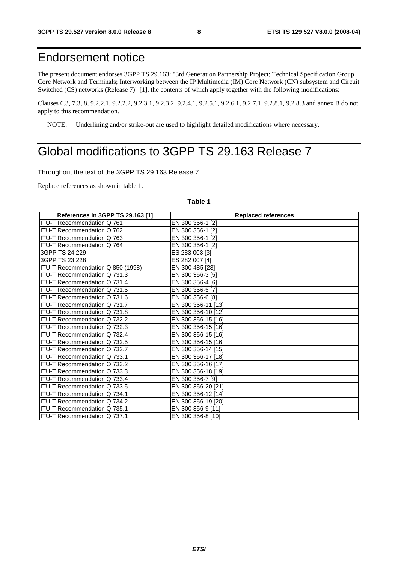### Endorsement notice

The present document endorses 3GPP TS 29.163: "3rd Generation Partnership Project; Technical Specification Group Core Network and Terminals; Interworking between the IP Multimedia (IM) Core Network (CN) subsystem and Circuit Switched (CS) networks (Release 7)" [1], the contents of which apply together with the following modifications:

Clauses 6.3, 7.3, 8, 9.2.2.1, 9.2.2.2, 9.2.3.1, 9.2.3.2, 9.2.4.1, 9.2.5.1, 9.2.6.1, 9.2.7.1, 9.2.8.1, 9.2.8.3 and annex B do not apply to this recommendation.

NOTE: Underlining and/or strike-out are used to highlight detailed modifications where necessary.

### Global modifications to 3GPP TS 29.163 Release 7

Throughout the text of the 3GPP TS 29.163 Release 7

Replace references as shown in table 1.

#### **Table 1**

| References in 3GPP TS 29.163 [1]    | <b>Replaced references</b> |
|-------------------------------------|----------------------------|
| <b>ITU-T Recommendation Q.761</b>   | EN 300 356-1 [2]           |
| ITU-T Recommendation Q.762          | EN 300 356-1 [2]           |
| <b>ITU-T Recommendation Q.763</b>   | EN 300 356-1 [2]           |
| ITU-T Recommendation Q.764          | EN 300 356-1 [2]           |
| 3GPP TS 24.229                      | ES 283 003 [3]             |
| 3GPP TS 23.228                      | ES 282 007 [4]             |
| ITU-T Recommendation Q.850 (1998)   | EN 300 485 [23]            |
| ITU-T Recommendation Q.731.3        | EN 300 356-3 [5]           |
| <b>ITU-T Recommendation Q.731.4</b> | EN 300 356-4 [6]           |
| ITU-T Recommendation Q.731.5        | EN 300 356-5 [7]           |
| ITU-T Recommendation Q.731.6        | EN 300 356-6 [8]           |
| ITU-T Recommendation Q.731.7        | EN 300 356-11 [13]         |
| ITU-T Recommendation Q.731.8        | EN 300 356-10 [12]         |
| ITU-T Recommendation Q.732.2        | EN 300 356-15 [16]         |
| ITU-T Recommendation Q.732.3        | EN 300 356-15 [16]         |
| ITU-T Recommendation Q.732.4        | EN 300 356-15 [16]         |
| ITU-T Recommendation Q.732.5        | EN 300 356-15 [16]         |
| <b>ITU-T Recommendation Q.732.7</b> | EN 300 356-14 [15]         |
| <b>ITU-T Recommendation Q.733.1</b> | EN 300 356-17 [18]         |
| ITU-T Recommendation Q.733.2        | EN 300 356-16 [17]         |
| <b>ITU-T Recommendation Q.733.3</b> | EN 300 356-18 [19]         |
| ITU-T Recommendation Q.733.4        | EN 300 356-7 [9]           |
| ITU-T Recommendation Q.733.5        | EN 300 356-20 [21]         |
| ITU-T Recommendation Q.734.1        | EN 300 356-12 [14]         |
| ITU-T Recommendation Q.734.2        | EN 300 356-19 [20]         |
| <b>ITU-T Recommendation Q.735.1</b> | EN 300 356-9 [11]          |
| ITU-T Recommendation Q.737.1        | EN 300 356-8 [10]          |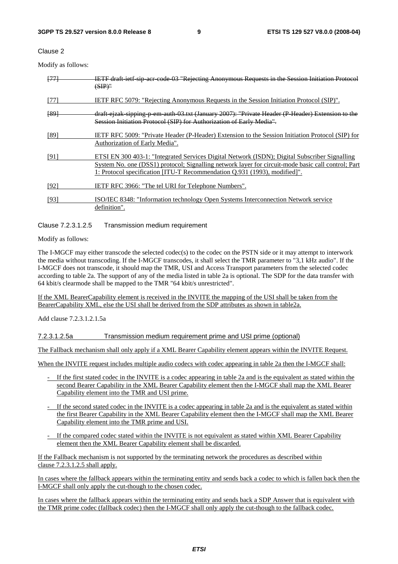Clause 2

Modify as follows:

| $+77$ | IETF draft ietf sip acr code 03 "Rejecting Anonymous Requests in the Session Initiation Protocol<br>$(SIP)^n$                                                                                                                                                                    |
|-------|----------------------------------------------------------------------------------------------------------------------------------------------------------------------------------------------------------------------------------------------------------------------------------|
| [77]  | <b>IETF RFC 5079: "Rejecting Anonymous Requests in the Session Initiation Protocol (SIP)".</b>                                                                                                                                                                                   |
| [89]  | draft ejzak sipping p em auth 03.txt (January 2007): "Private Header (P Header) Extension to the<br>Session Initiation Protocol (SIP) for Authorization of Early Media".                                                                                                         |
| [89]  | IETF RFC 5009: "Private Header (P-Header) Extension to the Session Initiation Protocol (SIP) for<br>Authorization of Early Media".                                                                                                                                               |
| [91]  | ETSI EN 300 403-1: "Integrated Services Digital Network (ISDN); Digital Subscriber Signalling<br>System No. one (DSS1) protocol; Signalling network layer for circuit-mode basic call control; Part<br>1: Protocol specification [ITU-T Recommendation Q.931 (1993), modified]". |
| [92]  | <b>IETF RFC 3966: "The tel URI for Telephone Numbers".</b>                                                                                                                                                                                                                       |
| [93]  | ISO/IEC 8348: "Information technology Open Systems Interconnection Network service<br>definition".                                                                                                                                                                               |

Clause 7.2.3.1.2.5 Transmission medium requirement

Modify as follows:

The I-MGCF may either transcode the selected codec(s) to the codec on the PSTN side or it may attempt to interwork the media without transcoding. If the I-MGCF transcodes, it shall select the TMR parameter to "3,1 kHz audio". If the I-MGCF does not transcode, it should map the TMR, USI and Access Transport parameters from the selected codec according to table 2a. The support of any of the media listed in table 2a is optional. The SDP for the data transfer with 64 kbit/s clearmode shall be mapped to the TMR "64 kbit/s unrestricted".

If the XML BearerCapability element is received in the INVITE the mapping of the USI shall be taken from the BearerCapability XML, else the USI shall be derived from the SDP attributes as shown in table2a.

Add clause 7.2.3.1.2.1.5a

7.2.3.1.2.5a Transmission medium requirement prime and USI prime (optional)

The Fallback mechanism shall only apply if a XML Bearer Capability element appears within the INVITE Request.

When the INVITE request includes multiple audio codecs with codec appearing in table 2a then the I-MGCF shall:

- If the first stated codec in the INVITE is a codec appearing in table 2a and is the equivalent as stated within the second Bearer Capability in the XML Bearer Capability element then the I-MGCF shall map the XML Bearer Capability element into the TMR and USI prime.
- If the second stated codec in the INVITE is a codec appearing in table 2a and is the equivalent as stated within the first Bearer Capability in the XML Bearer Capability element then the I-MGCF shall map the XML Bearer Capability element into the TMR prime and USI.
- If the compared codec stated within the INVITE is not equivalent as stated within XML Bearer Capability element then the XML Bearer Capability element shall be discarded.

If the Fallback mechanism is not supported by the terminating network the procedures as described within clause 7.2.3.1.2.5 shall apply.

In cases where the fallback appears within the terminating entity and sends back a codec to which is fallen back then the I-MGCF shall only apply the cut-though to the chosen codec.

In cases where the fallback appears within the terminating entity and sends back a SDP Answer that is equivalent with the TMR prime codec (fallback codec) then the I-MGCF shall only apply the cut-though to the fallback codec.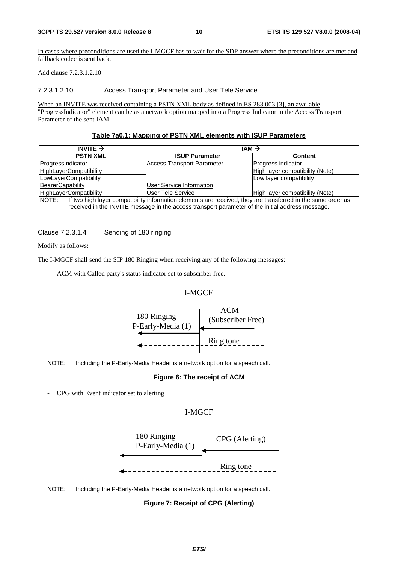In cases where preconditions are used the I-MGCF has to wait for the SDP answer where the preconditions are met and fallback codec is sent back.

Add clause 7.2.3.1.2.10

#### 7.2.3.1.2.10 Access Transport Parameter and User Tele Service

When an INVITE was received containing a PSTN XML body as defined in ES 283 003 [3], an available "ProgressIndicator" element can be as a network option mapped into a Progress Indicator in the Access Transport Parameter of the sent IAM

#### **Table 7a0.1: Mapping of PSTN XML elements with ISUP Parameters**

| INVITE $\rightarrow$                                                                                                  | $IAM \rightarrow$                 |                                 |  |
|-----------------------------------------------------------------------------------------------------------------------|-----------------------------------|---------------------------------|--|
| <b>PSTN XML</b>                                                                                                       | <b>ISUP Parameter</b>             | <b>Content</b>                  |  |
| ProgressIndicator                                                                                                     | <b>Access Transport Parameter</b> |                                 |  |
| <b>HighLayerCompatibility</b>                                                                                         |                                   | High layer compatibility (Note) |  |
| LowLayerCompatibility                                                                                                 |                                   | Low layer compatibility         |  |
| BearerCapability                                                                                                      | <b>User Service Information</b>   |                                 |  |
| User Tele Service<br><b>HighLayerCompatibility</b>                                                                    |                                   | High layer compatibility (Note) |  |
| NOTE:<br>If two high layer compatibility information elements are received, they are transferred in the same order as |                                   |                                 |  |
| received in the INVITE message in the access transport parameter of the initial address message.                      |                                   |                                 |  |

Clause 7.2.3.1.4 Sending of 180 ringing

Modify as follows:

The I-MGCF shall send the SIP 180 Ringing when receiving any of the following messages:

- ACM with Called party's status indicator set to subscriber free.

#### I-MGCF



NOTE: Including the P-Early-Media Header is a network option for a speech call.

#### **Figure 6: The receipt of ACM**

- CPG with Event indicator set to alerting

#### I-MGCF



NOTE: Including the P-Early-Media Header is a network option for a speech call.

**Figure 7: Receipt of CPG (Alerting)**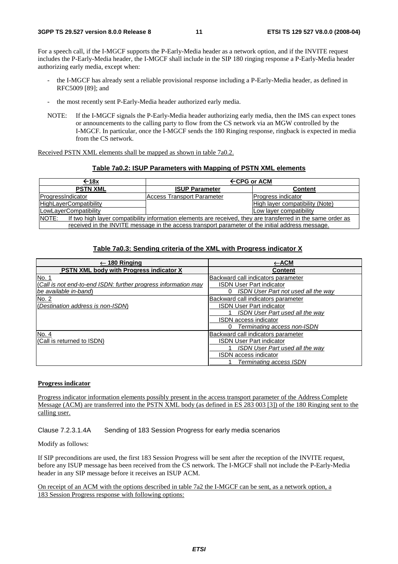For a speech call, if the I-MGCF supports the P-Early-Media header as a network option, and if the INVITE request includes the P-Early-Media header, the I-MGCF shall include in the SIP 180 ringing response a P-Early-Media header authorizing early media, except when:

- the I-MGCF has already sent a reliable provisional response including a P-Early-Media header, as defined in RFC5009 [89]; and
- the most recently sent P-Early-Media header authorized early media.
- NOTE: If the I-MGCF signals the P-Early-Media header authorizing early media, then the IMS can expect tones or announcements to the calling party to flow from the CS network via an MGW controlled by the I-MGCF. In particular, once the I-MGCF sends the 180 Ringing response, ringback is expected in media from the CS network.

Received PSTN XML elements shall be mapped as shown in table 7a0.2.

#### **Table 7a0.2: ISUP Parameters with Mapping of PSTN XML elements**

| ←18x                                                                                                                  | $\leftarrow$ CPG or ACM           |                           |
|-----------------------------------------------------------------------------------------------------------------------|-----------------------------------|---------------------------|
| <b>PSTN XML</b><br><b>ISUP Parameter</b>                                                                              |                                   | <b>Content</b>            |
| ProgressIndicator                                                                                                     | <b>Access Transport Parameter</b> | <b>Progress indicator</b> |
| <b>HighLayerCompatibility</b>                                                                                         | High layer compatibility (Note)   |                           |
| LowLayerCompatibility                                                                                                 |                                   | Low layer compatibility   |
| NOTE:<br>If two high layer compatibility information elements are received, they are transferred in the same order as |                                   |                           |
| received in the INVITE message in the access transport parameter of the initial address message.                      |                                   |                           |

#### **Table 7a0.3: Sending criteria of the XML with Progress indicator X**

| $\leftarrow$ 180 Ringing                                       | ←АСМ                                     |
|----------------------------------------------------------------|------------------------------------------|
| <b>PSTN XML body with Progress indicator X</b>                 | <b>Content</b>                           |
| No. 1                                                          | Backward call indicators parameter       |
| (Call is not end-to-end ISDN: further progress information may | <b>ISDN User Part indicator</b>          |
| lbe available in-band\                                         | ISDN User Part not used all the wav<br>0 |
| No. 2                                                          | Backward call indicators parameter       |
| (Destination address is non-ISDN)                              | ISDN User Part indicator                 |
|                                                                | <b>ISDN User Part used all the way</b>   |
|                                                                | ISDN access indicator                    |
|                                                                | Terminating access non-ISDN<br>0         |
| No. 4                                                          | Backward call indicators parameter       |
| (Call is returned to ISDN)                                     | <b>ISDN User Part indicator</b>          |
|                                                                | ISDN User Part used all the way          |
|                                                                | ISDN access indicator                    |
|                                                                | Terminating access ISDN                  |

#### **Progress indicator**

Progress indicator information elements possibly present in the access transport parameter of the Address Complete Message (ACM) are transferred into the PSTN XML body (as defined in ES 283 003 [3]) of the 180 Ringing sent to the calling user.

Clause 7.2.3.1.4A Sending of 183 Session Progress for early media scenarios

#### Modify as follows:

If SIP preconditions are used, the first 183 Session Progress will be sent after the reception of the INVITE request, before any ISUP message has been received from the CS network. The I-MGCF shall not include the P-Early-Media header in any SIP message before it receives an ISUP ACM.

On receipt of an ACM with the options described in table 7a2 the I-MGCF can be sent, as a network option, a 183 Session Progress response with following options: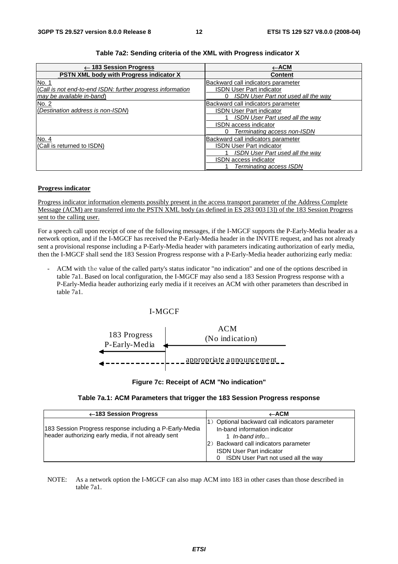| $\leftarrow$ 183 Session Progress                          | ←АСМ                                   |
|------------------------------------------------------------|----------------------------------------|
| <b>PSTN XML body with Progress indicator X</b>             | <b>Content</b>                         |
| No. 1                                                      | Backward call indicators parameter     |
| (Call is not end-to-end ISDN: further progress information | <b>ISDN User Part indicator</b>        |
| may be available in-band)                                  | ISDN User Part not used all the way    |
| No. 2                                                      | Backward call indicators parameter     |
| (Destination address is non-ISDN)                          | <b>ISDN User Part indicator</b>        |
|                                                            | <b>ISDN User Part used all the way</b> |
|                                                            | <b>ISDN</b> access indicator           |
|                                                            | Terminating access non-ISDN            |
| No. 4                                                      | Backward call indicators parameter     |
| (Call is returned to ISDN)                                 | <b>ISDN User Part indicator</b>        |
|                                                            | <b>ISDN User Part used all the way</b> |
|                                                            | <b>ISDN</b> access indicator           |
|                                                            | Terminating access ISDN                |

#### **Table 7a2: Sending criteria of the XML with Progress indicator X**

#### **Progress indicator**

Progress indicator information elements possibly present in the access transport parameter of the Address Complete Message (ACM) are transferred into the PSTN XML body (as defined in ES 283 003 [3]) of the 183 Session Progress sent to the calling user.

For a speech call upon receipt of one of the following messages, if the I-MGCF supports the P-Early-Media header as a network option, and if the I-MGCF has received the P-Early-Media header in the INVITE request, and has not already sent a provisional response including a P-Early-Media header with parameters indicating authorization of early media, then the I-MGCF shall send the 183 Session Progress response with a P-Early-Media header authorizing early media:

- ACM with the value of the called party's status indicator "no indication" and one of the options described in table 7a1. Based on local configuration, the I-MGCF may also send a 183 Session Progress response with a P-Early-Media header authorizing early media if it receives an ACM with other parameters than described in table 7a1.

#### I-MGCF



#### **Figure 7c: Receipt of ACM "No indication"**

#### **Table 7a.1: ACM Parameters that trigger the 183 Session Progress response**

| ←183 Session Progress                                                                                          | $\leftarrow$ ACM                                                                                                                                                                                                      |
|----------------------------------------------------------------------------------------------------------------|-----------------------------------------------------------------------------------------------------------------------------------------------------------------------------------------------------------------------|
| 183 Session Progress response including a P-Early-Media<br>header authorizing early media, if not already sent | 1) Optional backward call indicators parameter<br>In-band information indicator<br>1 In-band info<br>(2) Backward call indicators parameter<br><b>ISDN User Part indicator</b><br>ISDN User Part not used all the way |

NOTE: As a network option the I-MGCF can also map ACM into 183 in other cases than those described in table 7a1.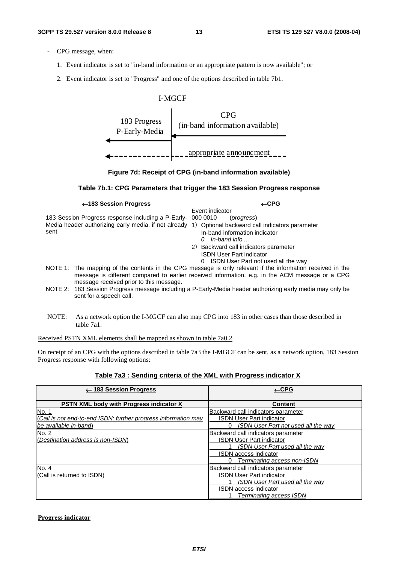- CPG message, when:
	- 1. Event indicator is set to "in-band information or an appropriate pattern is now available"; or
	- 2. Event indicator is set to "Progress" and one of the options described in table 7b1.





#### **Table 7b.1: CPG Parameters that trigger the 183 Session Progress response**

#### ←**183 Session Progress** ←**CPG**

Event indicator (*progress*)

- 183 Session Progress response including a P-Early-Media header authorizing early media, if not already 1) Optional backward call indicators parameter<br>sent sent in hand information indicators sent
	- In-band information indicator *0 In-band info ...*
	- 2) Backward call indicators parameter ISDN User Part indicator
		- 0 ISDN User Part not used all the way
- NOTE 1: The mapping of the contents in the CPG message is only relevant if the information received in the message is different compared to earlier received information, e.g. in the ACM message or a CPG message received prior to this message.
- NOTE 2: 183 Session Progress message including a P-Early-Media header authorizing early media may only be sent for a speech call.
- NOTE: As a network option the I-MGCF can also map CPG into 183 in other cases than those described in table 7a1.

Received PSTN XML elements shall be mapped as shown in table 7a0.2

On receipt of an CPG with the options described in table 7a3 the I-MGCF can be sent, as a network option, 183 Session Progress response with following options:

#### **Table 7a3 : Sending criteria of the XML with Progress indicator X**

| $\leftarrow$ 183 Session Progress                              | $\leftarrow$ CPG                                |
|----------------------------------------------------------------|-------------------------------------------------|
| <b>PSTN XML body with Progress indicator X</b>                 | <b>Content</b>                                  |
| No. 1                                                          | Backward call indicators parameter              |
| (Call is not end-to-end ISDN: further progress information may | <b>ISDN User Part indicator</b>                 |
| be available in-band)                                          | <b>ISDN User Part not used all the way</b><br>0 |
| No. 2                                                          | Backward call indicators parameter              |
| (Destination address is non-ISDN)                              | <b>ISDN User Part indicator</b>                 |
|                                                                | <b>ISDN User Part used all the way</b>          |
|                                                                | <b>ISDN</b> access indicator                    |
|                                                                | Terminating access non-ISDN<br>O                |
| No. 4                                                          | Backward call indicators parameter              |
| (Call is returned to ISDN)                                     | <b>ISDN User Part indicator</b>                 |
|                                                                | ISDN User Part used all the way                 |
|                                                                | <b>ISDN</b> access indicator                    |
|                                                                | Terminating access ISDN                         |

#### **Progress indicator**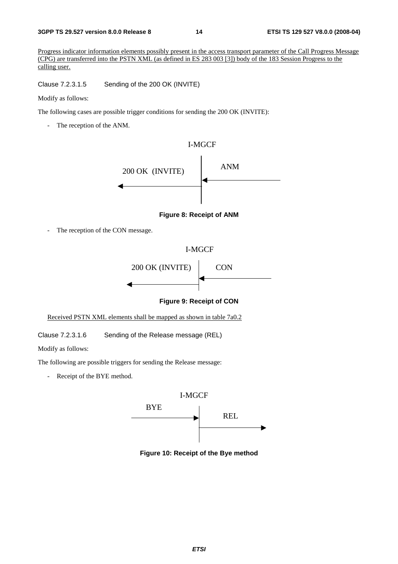#### **3GPP TS 29.527 version 8.0.0 Release 8 14 ETSI TS 129 527 V8.0.0 (2008-04)**

Progress indicator information elements possibly present in the access transport parameter of the Call Progress Message (CPG) are transferred into the PSTN XML (as defined in ES 283 003 [3]) body of the 183 Session Progress to the calling user.

Clause 7.2.3.1.5 Sending of the 200 OK (INVITE)

Modify as follows:

The following cases are possible trigger conditions for sending the 200 OK (INVITE):

- The reception of the ANM.



**Figure 8: Receipt of ANM** 

- The reception of the CON message.

#### I-MGCF



#### **Figure 9: Receipt of CON**

Received PSTN XML elements shall be mapped as shown in table 7a0.2

Clause 7.2.3.1.6 Sending of the Release message (REL)

Modify as follows:

The following are possible triggers for sending the Release message:

- Receipt of the BYE method.



**Figure 10: Receipt of the Bye method**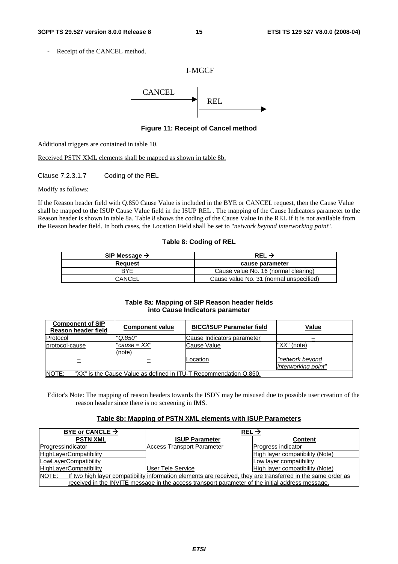Receipt of the CANCEL method.

### I-MGCF



**Figure 11: Receipt of Cancel method** 

Additional triggers are contained in table 10.

Received PSTN XML elements shall be mapped as shown in table 8b.

Clause 7.2.3.1.7 Coding of the REL

Modify as follows:

If the Reason header field with Q.850 Cause Value is included in the BYE or CANCEL request, then the Cause Value shall be mapped to the ISUP Cause Value field in the ISUP REL . The mapping of the Cause Indicators parameter to the Reason header is shown in table 8a. Table 8 shows the coding of the Cause Value in the REL if it is not available from the Reason header field. In both cases, the Location Field shall be set to "*network beyond interworking point*".

#### **Table 8: Coding of REL**

| SIP Message $\rightarrow$ | REL $\rightarrow$                       |  |
|---------------------------|-----------------------------------------|--|
| Reauest                   | cause parameter                         |  |
| <b>BYF</b>                | Cause value No. 16 (normal clearing)    |  |
| CANCEL                    | Cause value No. 31 (normal unspecified) |  |

#### **Table 8a: Mapping of SIP Reason header fields into Cause Indicators parameter**

| <b>Component of SIP</b><br>Reason header field                              | <b>Component value</b> | <b>BICC/ISUP Parameter field</b> | Value                                  |
|-----------------------------------------------------------------------------|------------------------|----------------------------------|----------------------------------------|
| Protocol                                                                    | "Q.850"                | Cause Indicators parameter       |                                        |
| protocol-cause                                                              | "cause = XX"<br>(note) | Cause Value                      | " $XX$ " (note)                        |
| $\overline{\phantom{0}}$                                                    |                        | Location                         | "network beyond<br>interworking point" |
| INOTE:<br>"XX" is the Cause Value as defined in ITU-T Recommendation Q.850. |                        |                                  |                                        |

Editor's Note: The mapping of reason headers towards the ISDN may be misused due to possible user creation of the reason header since there is no screening in IMS.

#### **Table 8b: Mapping of PSTN XML elements with ISUP Parameters**

| BYE or CANCLE $\rightarrow$                                                                                           | REL $\rightarrow$                       |                                 |
|-----------------------------------------------------------------------------------------------------------------------|-----------------------------------------|---------------------------------|
| <b>PSTN XML</b>                                                                                                       | <b>ISUP Parameter</b><br><b>Content</b> |                                 |
| ProgressIndicator                                                                                                     | Access Transport Parameter              | Progress indicator              |
| <b>HighLayerCompatibility</b>                                                                                         |                                         | High layer compatibility (Note) |
| LowLayerCompatibility                                                                                                 |                                         | Low layer compatibility         |
| <b>HighLayerCompatibility</b>                                                                                         | User Tele Service                       | High layer compatibility (Note) |
| NOTE:<br>If two high layer compatibility information elements are received, they are transferred in the same order as |                                         |                                 |
| received in the INVITE message in the access transport parameter of the initial address message.                      |                                         |                                 |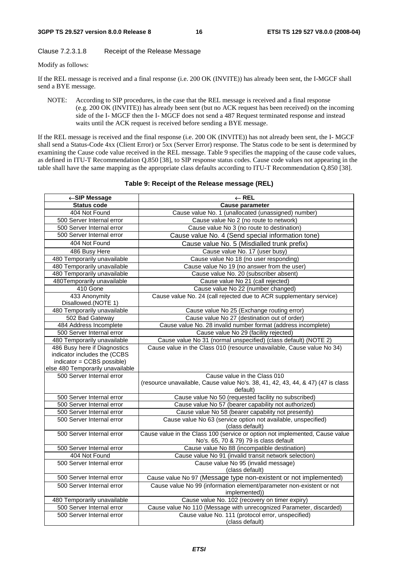#### Clause 7.2.3.1.8 Receipt of the Release Message

Modify as follows:

If the REL message is received and a final response (i.e. 200 OK (INVITE)) has already been sent, the I-MGCF shall send a BYE message.

NOTE: According to SIP procedures, in the case that the REL message is received and a final response (e.g. 200 OK (INVITE)) has already been sent (but no ACK request has been received) on the incoming side of the I- MGCF then the I- MGCF does not send a 487 Request terminated response and instead waits until the ACK request is received before sending a BYE message.

If the REL message is received and the final response (i.e. 200 OK (INVITE)) has not already been sent, the I- MGCF shall send a Status-Code 4xx (Client Error) or 5xx (Server Error) response. The Status code to be sent is determined by examining the Cause code value received in the REL message. Table 9 specifies the mapping of the cause code values, as defined in ITU-T Recommendation Q.850 [38], to SIP response status codes. Cause code values not appearing in the table shall have the same mapping as the appropriate class defaults according to ITU-T Recommendation Q.850 [38].

| ←SIP Message                         | $\leftarrow$ REL                                                                            |  |
|--------------------------------------|---------------------------------------------------------------------------------------------|--|
| <b>Status code</b>                   | <b>Cause parameter</b>                                                                      |  |
| 404 Not Found                        | Cause value No. 1 (unallocated (unassigned) number)                                         |  |
| 500 Server Internal error            | Cause value No 2 (no route to network)                                                      |  |
| 500 Server Internal error            | Cause value No 3 (no route to destination)                                                  |  |
| 500 Server Internal error            | Cause value No. 4 (Send special information tone)                                           |  |
| 404 Not Found                        | Cause value No. 5 (Misdialled trunk prefix)                                                 |  |
| 486 Busy Here                        | Cause value No. 17 (user busy)                                                              |  |
| 480 Temporarily unavailable          | Cause value No 18 (no user responding)                                                      |  |
| 480 Temporarily unavailable          | Cause value No 19 (no answer from the user)                                                 |  |
| 480 Temporarily unavailable          | Cause value No. 20 (subscriber absent)                                                      |  |
| 480Temporarily unavailable           | Cause value No 21 (call rejected)                                                           |  |
| 410 Gone                             | Cause value No 22 (number changed)                                                          |  |
| 433 Anonymity<br>Disallowed.(NOTE 1) | Cause value No. 24 (call rejected due to ACR supplementary service)                         |  |
| 480 Temporarily unavailable          | Cause value No 25 (Exchange routing error)                                                  |  |
| 502 Bad Gateway                      | Cause value No 27 (destination out of order)                                                |  |
| 484 Address Incomplete               | Cause value No. 28 invalid number format (address incomplete)                               |  |
| 500 Server Internal error            | Cause value No 29 (facility rejected)                                                       |  |
| 480 Temporarily unavailable          | Cause value No 31 (normal unspecified) (class default) (NOTE 2)                             |  |
| 486 Busy here if Diagnostics         | Cause value in the Class 010 (resource unavailable, Cause value No 34)                      |  |
| indicator includes the (CCBS         |                                                                                             |  |
| indicator = CCBS possible)           |                                                                                             |  |
| else 480 Temporarily unavailable     |                                                                                             |  |
| 500 Server Internal error            | Cause value in the Class 010                                                                |  |
|                                      | (resource unavailable, Cause value No's. 38, 41, 42, 43, 44, & 47) (47 is class<br>default) |  |
| 500 Server Internal error            | Cause value No 50 (requested facility no subscribed)                                        |  |
| 500 Server Internal error            | Cause value No 57 (bearer capability not authorized)                                        |  |
| 500 Server Internal error            | Cause value No 58 (bearer capability not presently)                                         |  |
| 500 Server Internal error            | Cause value No 63 (service option not available, unspecified)                               |  |
|                                      | (class default)                                                                             |  |
| 500 Server Internal error            | Cause value in the Class 100 (service or option not implemented, Cause value                |  |
|                                      | No's. 65, 70 & 79) 79 is class default                                                      |  |
| 500 Server Internal error            | Cause value No 88 (incompatible destination)                                                |  |
| 404 Not Found                        | Cause value No 91 (invalid transit network selection)                                       |  |
| 500 Server Internal error            | Cause value No 95 (invalid message)                                                         |  |
|                                      | (class default)                                                                             |  |
| 500 Server Internal error            | Cause value No 97 (Message type non-existent or not implemented)                            |  |
| 500 Server Internal error            | Cause value No 99 (information element/parameter non-existent or not                        |  |
|                                      | implemented))                                                                               |  |
| 480 Temporarily unavailable          | Cause value No. 102 (recovery on timer expiry)                                              |  |
| 500 Server Internal error            | Cause value No 110 (Message with unrecognized Parameter, discarded)                         |  |
| 500 Server Internal error            | Cause value No. 111 (protocol error, unspecified)                                           |  |
|                                      | (class default)                                                                             |  |

#### **Table 9: Receipt of the Release message (REL)**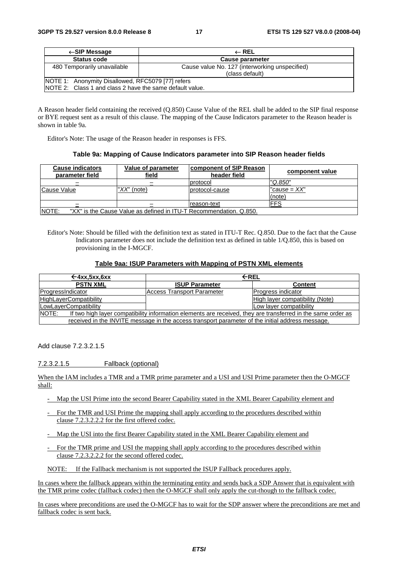| $\leftarrow$ SIP Message                                                                                       | $\leftarrow$ REL                                                  |  |
|----------------------------------------------------------------------------------------------------------------|-------------------------------------------------------------------|--|
| <b>Status code</b>                                                                                             | Cause parameter                                                   |  |
| 480 Temporarily unavailable                                                                                    | Cause value No. 127 (interworking unspecified)<br>(class default) |  |
| NOTE 1: Anonymity Disallowed, RFC5079 [77] refers<br>INOTE 2: Class 1 and class 2 have the same default value. |                                                                   |  |

A Reason header field containing the received (Q.850) Cause Value of the REL shall be added to the SIP final response or BYE request sent as a result of this clause. The mapping of the Cause Indicators parameter to the Reason header is shown in table 9a.

Editor's Note: The usage of the Reason header in responses is FFS.

#### **Table 9a: Mapping of Cause Indicators parameter into SIP Reason header fields**

| <b>Cause indicators</b><br>parameter field | Value of parameter<br>field                                        | <b>component of SIP Reason</b><br>header field | component value          |
|--------------------------------------------|--------------------------------------------------------------------|------------------------------------------------|--------------------------|
|                                            |                                                                    | protocol                                       | "Q.850"                  |
| Cause Value                                | " $XX$ " (note)                                                    | protocol-cause                                 | $"cause = XX"$<br>(note) |
|                                            |                                                                    | Ireason-text                                   | FFS                      |
| NOTE:                                      | "XX" is the Cause Value as defined in ITU-T Recommendation. Q.850. |                                                |                          |

Editor's Note: Should be filled with the definition text as stated in ITU-T Rec. Q.850. Due to the fact that the Cause Indicators parameter does not include the definition text as defined in table 1/Q.850, this is based on provisioning in the I-MGCF.

#### **Table 9aa: ISUP Parameters with Mapping of PSTN XML elements**

| $\leftarrow$ 4xx, 5xx, 6xx                                                                                             | ←REL                                    |                                 |
|------------------------------------------------------------------------------------------------------------------------|-----------------------------------------|---------------------------------|
| <b>PSTN XML</b>                                                                                                        | <b>ISUP Parameter</b><br><b>Content</b> |                                 |
| ProgressIndicator                                                                                                      | Access Transport Parameter              | Progress indicator              |
| <b>HighLayerCompatibility</b>                                                                                          |                                         | High layer compatibility (Note) |
| LowLayerCompatibility                                                                                                  | Low layer compatibility                 |                                 |
| INOTE:<br>If two high layer compatibility information elements are received, they are transferred in the same order as |                                         |                                 |
| received in the INVITE message in the access transport parameter of the initial address message.                       |                                         |                                 |

Add clause 7.2.3.2.1.5

7.2.3.2.1.5 Fallback (optional)

When the IAM includes a TMR and a TMR prime parameter and a USI and USI Prime parameter then the O-MGCF shall:

- Map the USI Prime into the second Bearer Capability stated in the XML Bearer Capability element and
- For the TMR and USI Prime the mapping shall apply according to the procedures described within clause 7.2.3.2.2.2 for the first offered codec.
- Map the USI into the first Bearer Capability stated in the XML Bearer Capability element and
- For the TMR prime and USI the mapping shall apply according to the procedures described within clause 7.2.3.2.2.2 for the second offered codec.
- NOTE: If the Fallback mechanism is not supported the ISUP Fallback procedures apply.

In cases where the fallback appears within the terminating entity and sends back a SDP Answer that is equivalent with the TMR prime codec (fallback codec) then the O-MGCF shall only apply the cut-though to the fallback codec.

In cases where preconditions are used the O-MGCF has to wait for the SDP answer where the preconditions are met and fallback codec is sent back.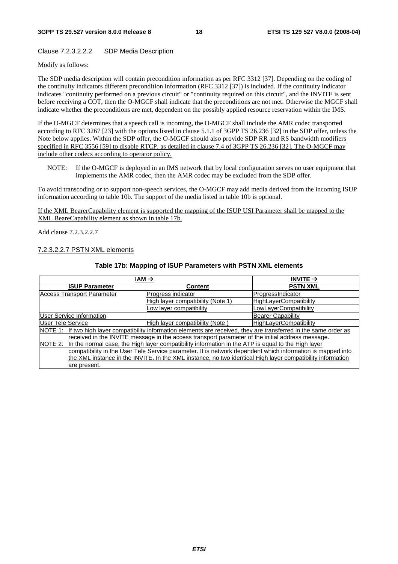#### Clause 7.2.3.2.2.2 SDP Media Description

Modify as follows:

The SDP media description will contain precondition information as per RFC 3312 [37]. Depending on the coding of the continuity indicators different precondition information (RFC 3312 [37]) is included. If the continuity indicator indicates "continuity performed on a previous circuit" or "continuity required on this circuit", and the INVITE is sent before receiving a COT, then the O-MGCF shall indicate that the preconditions are not met. Otherwise the MGCF shall indicate whether the preconditions are met, dependent on the possibly applied resource reservation within the IMS.

If the O-MGCF determines that a speech call is incoming, the O-MGCF shall include the AMR codec transported according to RFC 3267 [23] with the options listed in clause 5.1.1 of 3GPP TS 26.236 [32] in the SDP offer, unless the Note below applies. Within the SDP offer, the O-MGCF should also provide SDP RR and RS bandwidth modifiers specified in RFC 3556 [59] to disable RTCP, as detailed in clause 7.4 of 3GPP TS 26.236 [32]. The O-MGCF may include other codecs according to operator policy.

NOTE: If the O-MGCF is deployed in an IMS network that by local configuration serves no user equipment that implements the AMR codec, then the AMR codec may be excluded from the SDP offer.

To avoid transcoding or to support non-speech services, the O-MGCF may add media derived from the incoming ISUP information according to table 10b. The support of the media listed in table 10b is optional.

If the XML BearerCapability element is supported the mapping of the ISUP USI Parameter shall be mapped to the XML BeareCapability element as shown in table 17b.

Add clause 7.2.3.2.2.7

#### 7.2.3.2.2.7 PSTN XML elements

#### **Table 17b: Mapping of ISUP Parameters with PSTN XML elements**

| $IAM \rightarrow$                                                                                             |                                                                                                                      | INVITE $\rightarrow$          |
|---------------------------------------------------------------------------------------------------------------|----------------------------------------------------------------------------------------------------------------------|-------------------------------|
| <b>ISUP Parameter</b>                                                                                         | <b>Content</b>                                                                                                       | <b>PSTN XML</b>               |
| <b>Access Transport Parameter</b>                                                                             | Progress indicator                                                                                                   | ProgressIndicator             |
|                                                                                                               | High layer compatibility (Note 1)                                                                                    | <b>HighLayerCompatibility</b> |
|                                                                                                               | Low layer compatibility                                                                                              | LowLayerCompatibility         |
| <b>User Service Information</b>                                                                               |                                                                                                                      | <b>Bearer Capability</b>      |
| User Tele Service                                                                                             | High layer compatibility (Note)                                                                                      | <b>HighLayerCompatibility</b> |
|                                                                                                               | NOTE 1: If two high layer compatibility information elements are received, they are transferred in the same order as |                               |
|                                                                                                               | received in the INVITE message in the access transport parameter of the initial address message.                     |                               |
| In the normal case, the High layer compatibility information in the ATP is equal to the High layer<br>NOTE 2: |                                                                                                                      |                               |
| compatibility in the User Tele Service parameter. It is network dependent which information is mapped into    |                                                                                                                      |                               |
| the XML instance in the INVITE. In the XML instance, no two identical High layer compatibility information    |                                                                                                                      |                               |
| are present.                                                                                                  |                                                                                                                      |                               |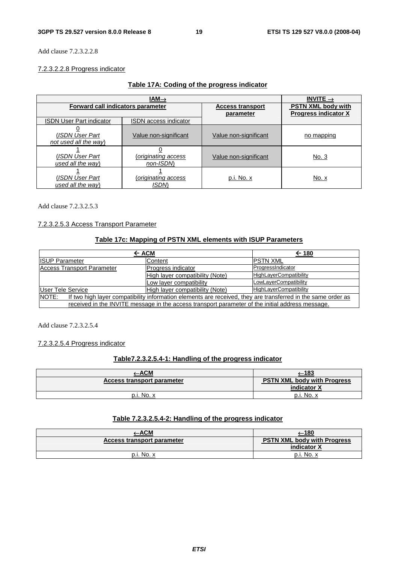Add clause 7.2.3.2.2.8

#### 7.2.3.2.2.8 Progress indicator

|                                          | $IAM\rightarrow$                   |                                      | INVITE $\rightarrow$                                     |
|------------------------------------------|------------------------------------|--------------------------------------|----------------------------------------------------------|
| Forward call indicators parameter        |                                    | <b>Access transport</b><br>parameter | <b>PSTN XML body with</b><br><b>Progress indicator X</b> |
| <b>ISDN User Part indicator</b>          | <b>ISDN</b> access indicator       |                                      |                                                          |
| (ISDN User Part<br>not used all the way) | Value non-significant              | Value non-significant                | no mapping                                               |
| (ISDN User Part<br>used all the way)     | (originating access<br>non-ISDN    | Value non-significant                | <u>No. 3</u>                                             |
| (ISDN User Part<br>used all the way)     | (originating access<br><b>ISDN</b> | p.i. No. x                           | No. x                                                    |

Add clause 7.2.3.2.5.3

#### 7.2.3.2.5.3 Access Transport Parameter

#### **Table 17c: Mapping of PSTN XML elements with ISUP Parameters**

| $\leftarrow$ ACM                                                                                                      |                                 | $\leftarrow$ 180              |
|-----------------------------------------------------------------------------------------------------------------------|---------------------------------|-------------------------------|
| <b>ISUP Parameter</b>                                                                                                 | Content                         | <b>IPSTN XML</b>              |
| Access Transport Parameter                                                                                            | Progress indicator              | ProgressIndicator             |
|                                                                                                                       | High layer compatibility (Note) | HighLayerCompatibility        |
|                                                                                                                       | Low layer compatibility         | LowLayerCompatibility         |
| <b>User Tele Service</b>                                                                                              | High layer compatibility (Note) | <b>HighLayerCompatibility</b> |
| NOTE:<br>If two high layer compatibility information elements are received, they are transferred in the same order as |                                 |                               |
| received in the INVITE message in the access transport parameter of the initial address message.                      |                                 |                               |

Add clause 7.2.3.2.5.4

#### 7.2.3.2.5.4 Progress indicator

### **Table7.2.3.2.5.4-1: Handling of the progress indicator**

| <u>-ACM</u>                | <u>'–183</u>                                             |
|----------------------------|----------------------------------------------------------|
| Access transport parameter | <b>PSTN XML body with Progress</b><br>indicator <b>X</b> |
| p.i. No. x                 | $p.i. No. x$                                             |

### **Table 7.2.3.2.5.4-2: Handling of the progress indicator**

|                            | (–180                                             |
|----------------------------|---------------------------------------------------|
| Access transport parameter | <b>PSTN XML body with Progress</b><br>indicator Y |
| $p.i. No. x$               | p.i. No. x                                        |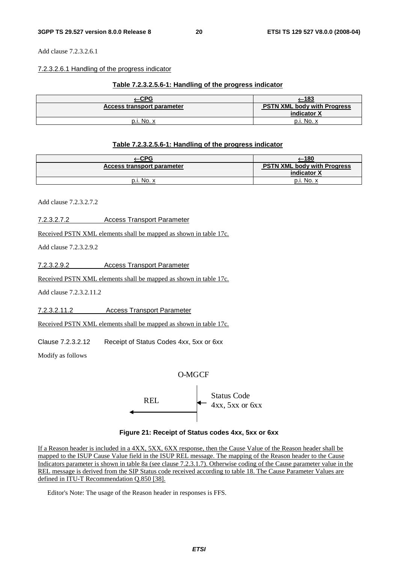Add clause 7.2.3.2.6.1

#### 7.2.3.2.6.1 Handling of the progress indicator

#### **Table 7.2.3.2.5.6-1: Handling of the progress indicator**

| $-CPG$                     | —183                                              |
|----------------------------|---------------------------------------------------|
| Access transport parameter | <b>PSTN XML body with Progress</b><br>indicator X |
| $p.i. No. x$               | p.i. No. x                                        |

#### **Table 7.2.3.2.5.6-1: Handling of the progress indicator**

| <u>_CPG</u>                | <u>—180</u>                                       |
|----------------------------|---------------------------------------------------|
| Access transport parameter | <b>PSTN XML body with Progress</b><br>indicator X |
| p.i. No. x                 | p.i. No. x                                        |

Add clause 7.2.3.2.7.2

7.2.3.2.7.2 Access Transport Parameter

Received PSTN XML elements shall be mapped as shown in table 17c.

Add clause 7.2.3.2.9.2

7.2.3.2.9.2 Access Transport Parameter

Received PSTN XML elements shall be mapped as shown in table 17c.

Add clause 7.2.3.2.11.2

7.2.3.2.11.2 Access Transport Parameter

Received PSTN XML elements shall be mapped as shown in table 17c.

Clause 7.2.3.2.12 Receipt of Status Codes 4xx, 5xx or 6xx

Modify as follows



**Figure 21: Receipt of Status codes 4xx, 5xx or 6xx** 

If a Reason header is included in a 4XX, 5XX, 6XX response, then the Cause Value of the Reason header shall be mapped to the ISUP Cause Value field in the ISUP REL message. The mapping of the Reason header to the Cause Indicators parameter is shown in table 8a (see clause 7.2.3.1.7). Otherwise coding of the Cause parameter value in the REL message is derived from the SIP Status code received according to table 18. The Cause Parameter Values are defined in ITU-T Recommendation Q.850 [38].

Editor's Note: The usage of the Reason header in responses is FFS.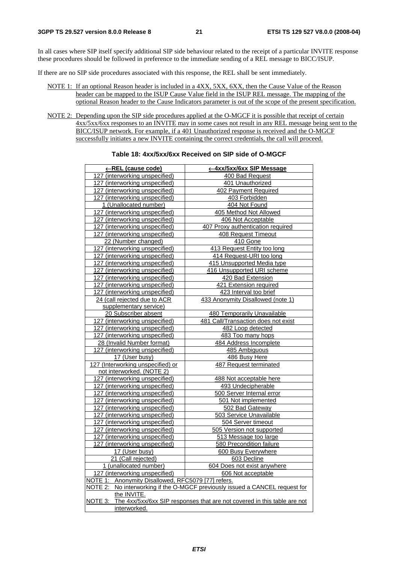In all cases where SIP itself specify additional SIP side behaviour related to the receipt of a particular INVITE response these procedures should be followed in preference to the immediate sending of a REL message to BICC/ISUP.

If there are no SIP side procedures associated with this response, the REL shall be sent immediately.

- NOTE 1: If an optional Reason header is included in a 4XX, 5XX, 6XX, then the Cause Value of the Reason header can be mapped to the ISUP Cause Value field in the ISUP REL message. The mapping of the optional Reason header to the Cause Indicators parameter is out of the scope of the present specification.
- NOTE 2: Depending upon the SIP side procedures applied at the O-MGCF it is possible that receipt of certain 4xx/5xx/6xx responses to an INVITE may in some cases not result in any REL message being sent to the BICC/ISUP network. For example, if a 401 Unauthorized response is received and the O-MGCF successfully initiates a new INVITE containing the correct credentials, the call will proceed.

| ←REL (cause code)                                  | ← 4xx/5xx/6xx SIP Message                                                        |
|----------------------------------------------------|----------------------------------------------------------------------------------|
| 127 (interworking unspecified)                     | 400 Bad Request                                                                  |
| 127 (interworking unspecified)                     | 401 Unauthorized                                                                 |
| 127 (interworking unspecified)                     | 402 Payment Required                                                             |
| 127 (interworking unspecified)                     | 403 Forbidden                                                                    |
| 1 (Unallocated number)                             | 404 Not Found                                                                    |
| 127 (interworking unspecified)                     | 405 Method Not Allowed                                                           |
| 127 (interworking unspecified)                     | 406 Not Acceptable                                                               |
| 127 (interworking unspecified)                     | 407 Proxy authentication required                                                |
| 127 (interworking unspecified)                     | 408 Request Timeout                                                              |
| 22 (Number changed)                                | 410 Gone                                                                         |
| 127 (interworking unspecified)                     | 413 Request Entity too long                                                      |
| 127 (interworking unspecified)                     | 414 Request-URI too long                                                         |
| 127 (interworking unspecified)                     | 415 Unsupported Media type                                                       |
| 127 (interworking unspecified)                     | 416 Unsupported URI scheme                                                       |
| 127 (interworking unspecified)                     | 420 Bad Extension                                                                |
| 127 (interworking unspecified)                     | 421 Extension required                                                           |
| 127 (interworking unspecified)                     | 423 Interval too brief                                                           |
| 24 (call rejected due to ACR                       | 433 Anonymity Disallowed (note 1)                                                |
| supplementary service)                             |                                                                                  |
| 20 Subscriber absent                               | <b>480 Temporarily Unavailable</b>                                               |
| 127 (interworking unspecified)                     | 481 Call/Transaction does not exist                                              |
| 127 (interworking unspecified)                     | 482 Loop detected                                                                |
| 127 (interworking unspecified)                     | 483 Too many hops                                                                |
| 28 (Invalid Number format)                         | 484 Address Incomplete                                                           |
| 127 (interworking unspecified)                     | 485 Ambiguous                                                                    |
| 17 (User busy)                                     | 486 Busy Here                                                                    |
| 127 (Interworking unspecified) or                  | <b>487 Request terminated</b>                                                    |
| not interworked. (NOTE 2)                          |                                                                                  |
| 127 (interworking unspecified)                     | 488 Not acceptable here                                                          |
| 127 (interworking unspecified)                     | 493 Undecipherable                                                               |
| 127 (interworking unspecified)                     | 500 Server Internal error                                                        |
| 127 (interworking unspecified)                     | 501 Not implemented                                                              |
| 127 (interworking unspecified)                     | 502 Bad Gateway                                                                  |
| 127 (interworking unspecified)                     | 503 Service Unavailable                                                          |
| 127 (interworking unspecified)                     | 504 Server timeout                                                               |
| 127 (interworking unspecified)                     | 505 Version not supported                                                        |
| 127 (interworking unspecified)                     | 513 Message too large                                                            |
| 127 (interworking unspecified)                     | 580 Precondition failure                                                         |
| 17 (User busy)                                     | 600 Busy Everywhere                                                              |
| 21 (Call rejected)                                 | 603 Decline                                                                      |
| 1 (unallocated number)                             | 604 Does not exist anywhere                                                      |
| 127 (interworking unspecified)                     | 606 Not acceptable                                                               |
| NOTE 1: Anonymity Disallowed, RFC5079 [77] refers. |                                                                                  |
| NOTE 2:                                            | No interworking if the O-MGCF previously issued a CANCEL request for             |
| the INVITE.                                        |                                                                                  |
|                                                    | NOTE 3: The 4xx/5xx/6xx SIP responses that are not covered in this table are not |
| interworked.                                       |                                                                                  |

#### **Table 18: 4xx/5xx/6xx Received on SIP side of O-MGCF**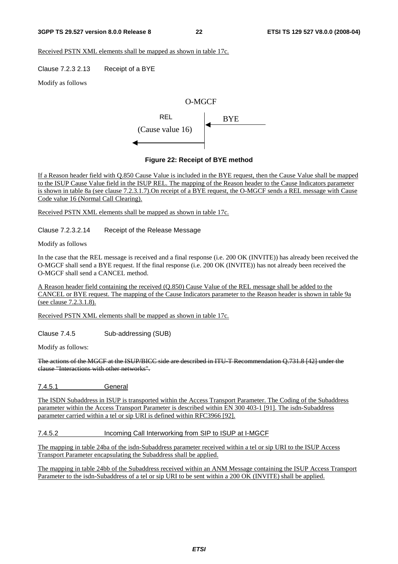#### **3GPP TS 29.527 version 8.0.0 Release 8 22 ETSI TS 129 527 V8.0.0 (2008-04)**

Received PSTN XML elements shall be mapped as shown in table 17c.

Clause 7.2.3 2.13 Receipt of a BYE

Modify as follows

### O-MGCF



#### **Figure 22: Receipt of BYE method**

If a Reason header field with Q.850 Cause Value is included in the BYE request, then the Cause Value shall be mapped to the ISUP Cause Value field in the ISUP REL. The mapping of the Reason header to the Cause Indicators parameter is shown in table 8a (see clause 7.2.3.1.7).On receipt of a BYE request, the O-MGCF sends a REL message with Cause Code value 16 (Normal Call Clearing).

Received PSTN XML elements shall be mapped as shown in table 17c.

Clause 7.2.3.2.14 Receipt of the Release Message

Modify as follows

In the case that the REL message is received and a final response (i.e. 200 OK (INVITE)) has already been received the O-MGCF shall send a BYE request. If the final response (i.e. 200 OK (INVITE)) has not already been received the O-MGCF shall send a CANCEL method.

A Reason header field containing the received (Q.850) Cause Value of the REL message shall be added to the CANCEL or BYE request. The mapping of the Cause Indicators parameter to the Reason header is shown in table 9a (see clause 7.2.3.1.8).

Received PSTN XML elements shall be mapped as shown in table 17c.

Clause 7.4.5 Sub-addressing (SUB)

Modify as follows:

The actions of the MGCF at the ISUP/BICC side are described in ITU-T Recommendation Q.731.8 [42] under the clause "Interactions with other networks".

7.4.5.1 General

The ISDN Subaddress in ISUP is transported within the Access Transport Parameter. The Coding of the Subaddress parameter within the Access Transport Parameter is described within EN 300 403-1 [91]. The isdn-Subaddress parameter carried within a tel or sip URI is defined within RFC3966 [92].

7.4.5.2 Incoming Call Interworking from SIP to ISUP at I-MGCF

The mapping in table 24ba of the isdn-Subaddress parameter received within a tel or sip URI to the ISUP Access Transport Parameter encapsulating the Subaddress shall be applied.

The mapping in table 24bb of the Subaddress received within an ANM Message containing the ISUP Access Transport Parameter to the isdn-Subaddress of a tel or sip URI to be sent within a 200 OK (INVITE) shall be applied.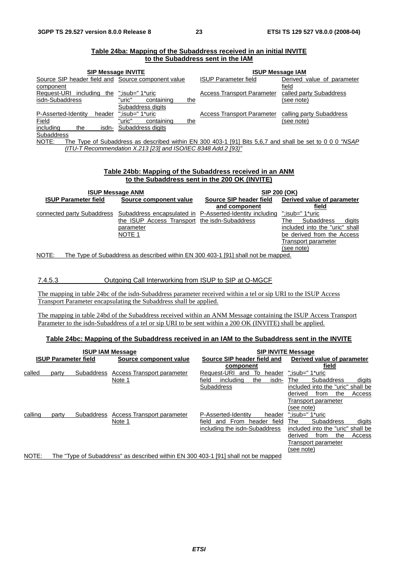| <b>SIP Message INVITE</b>                          |                                                               | <b>ISUP Message IAM</b>                                                                                 |                            |  |
|----------------------------------------------------|---------------------------------------------------------------|---------------------------------------------------------------------------------------------------------|----------------------------|--|
| Source SIP header field and Source component value |                                                               | <b>ISUP Parameter field</b>                                                                             | Derived value of parameter |  |
| component                                          |                                                               |                                                                                                         | field                      |  |
| Request-URI<br>including<br>the                    | ":isub=" 1*uric                                               | <b>Access Transport Parameter</b>                                                                       | called party Subaddress    |  |
| isdn-Subaddress                                    | "uric"<br>containing<br>the                                   |                                                                                                         | (see note)                 |  |
|                                                    | Subaddress digits                                             |                                                                                                         |                            |  |
| P-Asserted-Identity<br>header                      | ":isub=" 1*uric                                               | <b>Access Transport Parameter</b>                                                                       | calling party Subaddress   |  |
| Field                                              | "uric"<br>containing<br>the                                   |                                                                                                         | (see note)                 |  |
| includina<br>the<br>isdn-                          | Subaddress digits                                             |                                                                                                         |                            |  |
| Subaddress                                         |                                                               |                                                                                                         |                            |  |
| NOTE:                                              |                                                               | The Type of Subaddress as described within EN 300 403-1 [91] Bits 5.6.7 and shall be set to 0 0 0 "NSAP |                            |  |
|                                                    | (ITU-T Recommendation X.213 [23] and ISO/IEC 8348 Add.2 [93)" |                                                                                                         |                            |  |
|                                                    |                                                               |                                                                                                         |                            |  |

#### **Table 24ba: Mapping of the Subaddress received in an initial INVITE to the Subaddress sent in the IAM**

#### **Table 24bb: Mapping of the Subaddress received in an ANM to the Subaddress sent in the 200 OK (INVITE)**

|                             | <b>ISUP Message ANM</b>                                                           | SIP 200 (OK)                                             |                                    |  |  |
|-----------------------------|-----------------------------------------------------------------------------------|----------------------------------------------------------|------------------------------------|--|--|
| <b>ISUP Parameter field</b> | Source component value                                                            | Source SIP header field                                  | Derived value of parameter         |  |  |
|                             |                                                                                   | and component                                            | field                              |  |  |
| connected party Subaddress  |                                                                                   | Subaddress encapsulated in P-Asserted-Identity including | ":isub=" 1*uric                    |  |  |
|                             | the ISUP Access Transport the isdn-Subaddress                                     |                                                          | <b>Subaddress</b><br>digits<br>The |  |  |
|                             | parameter                                                                         |                                                          | included into the "uric" shall     |  |  |
|                             | NOTE <sub>1</sub>                                                                 |                                                          | be derived from the Access         |  |  |
|                             |                                                                                   |                                                          | Transport parameter                |  |  |
|                             |                                                                                   |                                                          | (see note)                         |  |  |
| NOTE:                       | The Type of Subaddress as described within EN 300 403-1 [91] shall not be mapped. |                                                          |                                    |  |  |

7.4.5.3 Outgoing Call Interworking from ISUP to SIP at O-MGCF

The mapping in table 24bc of the isdn-Subaddress parameter received within a tel or sip URI to the ISUP Access Transport Parameter encapsulating the Subaddress shall be applied.

The mapping in table 24bd of the Subaddress received within an ANM Message containing the ISUP Access Transport Parameter to the isdn-Subaddress of a tel or sip URI to be sent within a 200 OK (INVITE) shall be applied.

#### **Table 24bc: Mapping of the Subaddress received in an IAM to the Subaddress sent in the INVITE**

|         |                             |            | <b>ISUP IAM Message</b>                                                            | <b>SIP INVITE Message</b>               |                                    |  |  |
|---------|-----------------------------|------------|------------------------------------------------------------------------------------|-----------------------------------------|------------------------------------|--|--|
|         | <b>ISUP Parameter field</b> |            | Source component value                                                             | Source SIP header field and             | Derived value of parameter         |  |  |
|         |                             |            |                                                                                    | component                               | field                              |  |  |
| called  | party                       | Subaddress | Access Transport parameter                                                         | Request-URI<br>То<br>and<br>header      | ":isub=" 1*uric                    |  |  |
|         |                             |            | Note 1                                                                             | field<br>the<br>includina<br>isdn-      | <b>Subaddress</b><br>The<br>digits |  |  |
|         |                             |            |                                                                                    | <b>Subaddress</b>                       | included into the "uric" shall be  |  |  |
|         |                             |            |                                                                                    |                                         | the<br>derived<br>from<br>Access   |  |  |
|         |                             |            |                                                                                    |                                         | Transport parameter                |  |  |
|         |                             |            |                                                                                    |                                         | (see note)                         |  |  |
| calling | party                       | Subaddress | Access Transport parameter                                                         | P-Asserted-Identity<br>header           | ":isub=" 1*uric                    |  |  |
|         |                             |            | Note 1                                                                             | From<br>field<br>field<br>header<br>and | <b>Subaddress</b><br>The<br>digits |  |  |
|         |                             |            |                                                                                    | including the isdn-Subaddress           | included into the "uric" shall be  |  |  |
|         |                             |            |                                                                                    |                                         | the<br>derived<br>from<br>Access   |  |  |
|         |                             |            |                                                                                    |                                         | Transport parameter                |  |  |
|         |                             |            |                                                                                    |                                         | (see note)                         |  |  |
| NOTE:   |                             |            | The "Type of Subaddress" as described within EN 300 403-1 [91] shall not be mapped |                                         |                                    |  |  |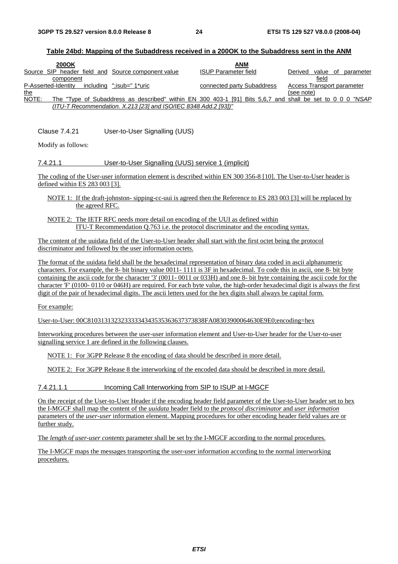#### **Table 24bd: Mapping of the Subaddress received in a 200OK to the Subaddress sent in the ANM**

| 200OK                                                                                                              | <b>ANM</b>                  |                                  |
|--------------------------------------------------------------------------------------------------------------------|-----------------------------|----------------------------------|
| Source SIP header field and Source component value                                                                 | <b>ISUP Parameter field</b> | of parameter<br>value<br>Derived |
| component                                                                                                          |                             | field                            |
| P-Asserted-Identity<br>includina ":isub=" 1*uric                                                                   | connected party Subaddress  | Access Transport parameter       |
| <u>the</u>                                                                                                         |                             | (see note)                       |
| NOTE:<br>The "Type of Subaddress as described" within EN 300 403-1 [91] Bits 5.6.7 and shall be set to 0 0 0 "NSAP |                             |                                  |
| $(ITU-T$ Recommendation. X.213 [23] and ISO/IEC 8348 Add.2 [93])"                                                  |                             |                                  |

Clause 7.4.21 User-to-User Signalling (UUS)

Modify as follows:

#### 7.4.21.1 User-to-User Signalling (UUS) service 1 (implicit)

The coding of the User-user information element is described within EN 300 356-8 [10]. The User-to-User header is defined within ES 283 003 [3].

- NOTE 1: If the draft-johnston- sipping-cc-uui is agreed then the Reference to ES 283 003 [3] will be replaced by the agreed RFC.
- NOTE 2: The IETF RFC needs more detail on encoding of the UUI as defined within ITU-T Recommendation Q.763 i.e. the protocol discriminator and the encoding syntax.

The content of the uuidata field of the User-to-User header shall start with the first octet being the protocol discriminator and followed by the user information octets.

The format of the uuidata field shall be the hexadecimal representation of binary data coded in ascii alphanumeric characters. For example, the 8- bit binary value 0011- 1111 is 3F in hexadecimal. To code this in ascii, one 8- bit byte containing the ascii code for the character '3' (0011- 0011 or 033H) and one 8- bit byte containing the ascii code for the character 'F' (0100- 0110 or 046H) are required. For each byte value, the high-order hexadecimal digit is always the first digit of the pair of hexadecimal digits. The ascii letters used for the hex digits shall always be capital form.

For example:

User-to-User: 00C81031313232333334343535363637373838FA08303900064630E9E0;encoding=hex

Interworking procedures between the user-user information element and User-to-User header for the User-to-user signalling service 1 are defined in the following clauses.

NOTE 1: For 3GPP Release 8 the encoding of data should be described in more detail.

NOTE 2: For 3GPP Release 8 the interworking of the encoded data should be described in more detail.

7.4.21.1.1 Incoming Call Interworking from SIP to ISUP at I-MGCF

On the receipt of the User-to-User Header if the encoding header field parameter of the User-to-User header set to hex the I-MGCF shall map the content of the *uuidata* header field to the *protocol discriminator* and *user information* parameters of the *user-user* information element. Mapping procedures for other encoding header field values are or further study.

The *length of user-user contents* parameter shall be set by the I-MGCF according to the normal procedures.

The I-MGCF maps the messages transporting the user-user information according to the normal interworking procedures.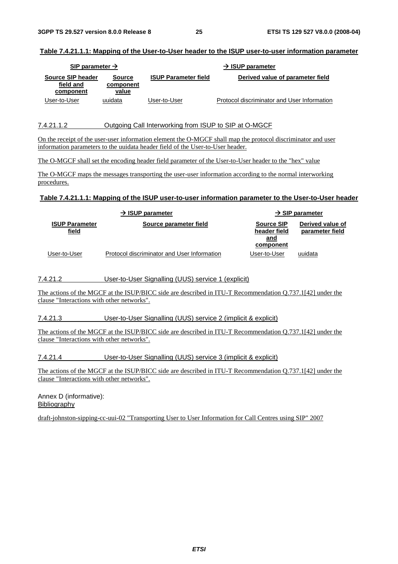#### **Table 7.4.21.1.1: Mapping of the User-to-User header to the ISUP user-to-user information parameter**

| SIP parameter $\rightarrow$                 |                                     |                             | $\rightarrow$ ISUP parameter                |
|---------------------------------------------|-------------------------------------|-----------------------------|---------------------------------------------|
| Source SIP header<br>field and<br>component | <b>Source</b><br>component<br>value | <b>ISUP Parameter field</b> | Derived value of parameter field            |
| User-to-User                                | uuidata                             | User-to-User                | Protocol discriminator and User Information |

#### 7.4.21.1.2 Outgoing Call Interworking from ISUP to SIP at O-MGCF

On the receipt of the user-user information element the O-MGCF shall map the protocol discriminator and user information parameters to the uuidata header field of the User-to-User header.

The O-MGCF shall set the encoding header field parameter of the User-to-User header to the "hex" value

The O-MGCF maps the messages transporting the user-user information according to the normal interworking procedures.

#### **Table 7.4.21.1.1: Mapping of the ISUP user-to-user information parameter to the User-to-User header**

|                                       | $\rightarrow$ ISUP parameter                |                                                       | $\rightarrow$ SIP parameter         |
|---------------------------------------|---------------------------------------------|-------------------------------------------------------|-------------------------------------|
| <b>ISUP Parameter</b><br><u>field</u> | Source parameter field                      | <b>Source SIP</b><br>header field<br>and<br>component | Derived value of<br>parameter field |
| User-to-User                          | Protocol discriminator and User Information | User-to-User                                          | uuidata                             |

7.4.21.2 User-to-User Signalling (UUS) service 1 (explicit)

The actions of the MGCF at the ISUP/BICC side are described in ITU-T Recommendation Q.737.1[42] under the clause "Interactions with other networks".

7.4.21.3 User-to-User Signalling (UUS) service 2 (implicit & explicit)

The actions of the MGCF at the ISUP/BICC side are described in ITU-T Recommendation Q.737.1[42] under the clause "Interactions with other networks".

7.4.21.4 User-to-User Signalling (UUS) service 3 (implicit & explicit)

The actions of the MGCF at the ISUP/BICC side are described in ITU-T Recommendation Q.737.1[42] under the clause "Interactions with other networks".

Annex D (informative): Bibliography

draft-johnston-sipping-cc-uui-02 "Transporting User to User Information for Call Centres using SIP" 2007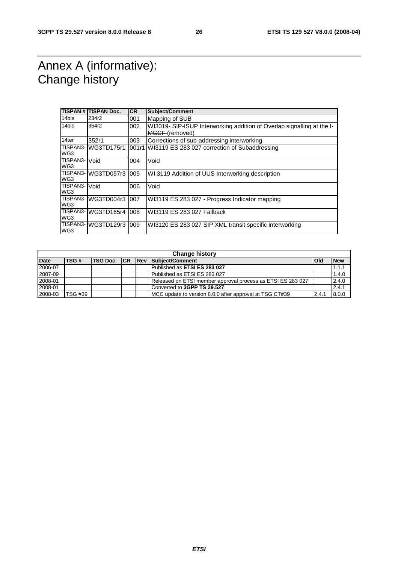### Annex A (informative): Change history

|                        | <b>TISPAN # TISPAN Doc.</b> | <b>CR</b> | Subject/Comment                                                       |
|------------------------|-----------------------------|-----------|-----------------------------------------------------------------------|
| 14bis                  | 234r2                       | 001       | Mapping of SUB                                                        |
| 14bis                  | 354r2                       | 002       | WI3019-SIP-ISUP Interworking addition of Overlap signalling at the I- |
|                        |                             |           | MGCF (removed)                                                        |
| 14ter                  | 352r1                       | 003       | Corrections of sub-addressing interworking                            |
| WG3                    | TISPAN3- WG3TD175r1         |           | 001r1 WI3119 ES 283 027 correction of Subaddressing                   |
| <b>TISPAN3-</b><br>WG3 | Void                        | 004       | Void                                                                  |
| WG3                    | TISPAN3-WG3TD057r3          | 005       | WI 3119 Addition of UUS Interworking description                      |
| TISPAN3- Void<br>WG3   |                             | 006       | Void                                                                  |
| WG3                    | TISPAN3-WG3TD004r3          | 007       | WI3119 ES 283 027 - Progress Indicator mapping                        |
| WG3                    | TISPAN3-WG3TD165r4          | 008       | IWI3119 ES 283 027 Fallback                                           |
| WG3                    | TISPAN3-WG3TD129r3          | 009       | WI3120 ES 283 027 SIP XML transit specific interworking               |

|             | <b>Change history</b> |              |  |  |                                                             |              |            |
|-------------|-----------------------|--------------|--|--|-------------------------------------------------------------|--------------|------------|
| <b>Date</b> | TSG#                  | TSG Doc.  CR |  |  | <b>Rev Subject/Comment</b>                                  | <b>l</b> Old | <b>New</b> |
| 2006-07     |                       |              |  |  | Published as ETSI ES 283 027                                |              | 1.1.1      |
| 2007-09     |                       |              |  |  | Published as ETSI ES 283 027                                |              | 1.4.0      |
| 2008-01     |                       |              |  |  | Released on ETSI member approval process as ETSI ES 283 027 |              | 2.4.0      |
| 2008-01     |                       |              |  |  | Converted to 3GPP TS 29.527                                 |              | 2.4.1      |
| 2008-03     | TSG #39               |              |  |  | MCC update to version 8.0.0 after approval at TSG CT#39     | 2.4.1        | 8.0.0      |